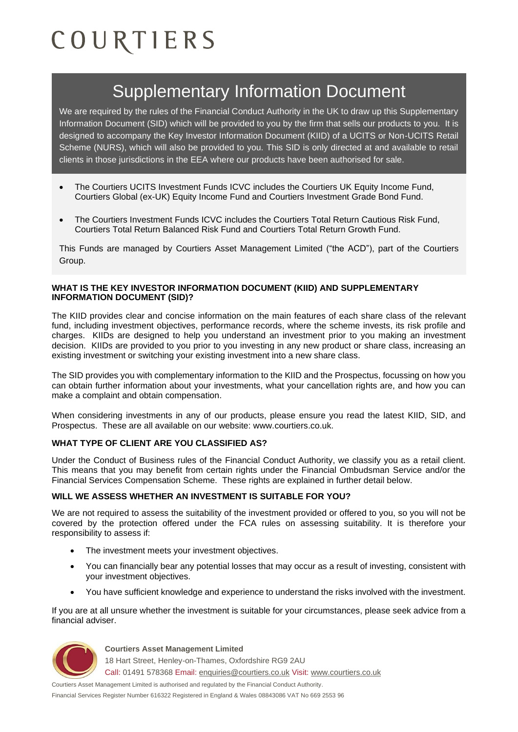# COURTIERS

# Supplementary Information Document

We are required by the rules of the Financial Conduct Authority in the UK to draw up this Supplementary Information Document (SID) which will be provided to you by the firm that sells our products to you. It is designed to accompany the Key Investor Information Document (KIID) of a UCITS or Non-UCITS Retail Scheme (NURS), which will also be provided to you. This SID is only directed at and available to retail clients in those jurisdictions in the EEA where our products have been authorised for sale.

- The Courtiers UCITS Investment Funds ICVC includes the Courtiers UK Equity Income Fund, Courtiers Global (ex-UK) Equity Income Fund and Courtiers Investment Grade Bond Fund.
- The Courtiers Investment Funds ICVC includes the Courtiers Total Return Cautious Risk Fund, Courtiers Total Return Balanced Risk Fund and Courtiers Total Return Growth Fund.

This Funds are managed by Courtiers Asset Management Limited ("the ACD"), part of the Courtiers Group.

#### **WHAT IS THE KEY INVESTOR INFORMATION DOCUMENT (KIID) AND SUPPLEMENTARY INFORMATION DOCUMENT (SID)?**

The KIID provides clear and concise information on the main features of each share class of the relevant fund, including investment objectives, performance records, where the scheme invests, its risk profile and charges. KIIDs are designed to help you understand an investment prior to you making an investment decision. KIIDs are provided to you prior to you investing in any new product or share class, increasing an existing investment or switching your existing investment into a new share class.

The SID provides you with complementary information to the KIID and the Prospectus, focussing on how you can obtain further information about your investments, what your cancellation rights are, and how you can make a complaint and obtain compensation.

When considering investments in any of our products, please ensure you read the latest KIID, SID, and Prospectus. These are all available on our website: www.courtiers.co.uk.

# **WHAT TYPE OF CLIENT ARE YOU CLASSIFIED AS?**

Under the Conduct of Business rules of the Financial Conduct Authority, we classify you as a retail client. This means that you may benefit from certain rights under the Financial Ombudsman Service and/or the Financial Services Compensation Scheme. These rights are explained in further detail below.

#### **WILL WE ASSESS WHETHER AN INVESTMENT IS SUITABLE FOR YOU?**

We are not required to assess the suitability of the investment provided or offered to you, so you will not be covered by the protection offered under the FCA rules on assessing suitability. It is therefore your responsibility to assess if:

- The investment meets your investment objectives.
- You can financially bear any potential losses that may occur as a result of investing, consistent with your investment objectives.
- You have sufficient knowledge and experience to understand the risks involved with the investment.

If you are at all unsure whether the investment is suitable for your circumstances, please seek advice from a financial adviser.



**Courtiers Asset Management Limited**

18 Hart Street, Henley-on-Thames, Oxfordshire RG9 2AU Call: 01491 578368 Email: [enquiries@courtiers.co.uk](mailto:enquiries@courtiers.co.uk) Visit: [www.courtiers.co.uk](http://www.courtiers.co.uk/)

Courtiers Asset Management Limited is authorised and regulated by the Financial Conduct Authority. Financial Services Register Number 616322 Registered in England & Wales 08843086 VAT No 669 2553 96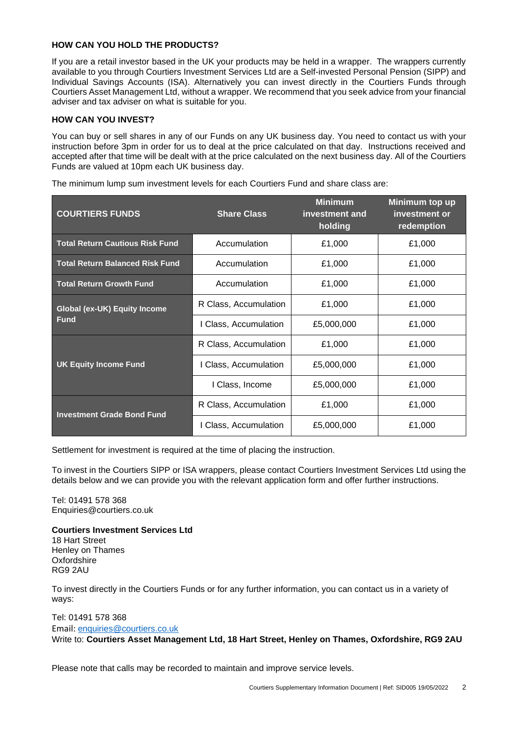## **HOW CAN YOU HOLD THE PRODUCTS?**

If you are a retail investor based in the UK your products may be held in a wrapper. The wrappers currently available to you through Courtiers Investment Services Ltd are a Self-invested Personal Pension (SIPP) and Individual Savings Accounts (ISA). Alternatively you can invest directly in the Courtiers Funds through Courtiers Asset Management Ltd, without a wrapper. We recommend that you seek advice from your financial adviser and tax adviser on what is suitable for you.

#### **HOW CAN YOU INVEST?**

You can buy or sell shares in any of our Funds on any UK business day. You need to contact us with your instruction before 3pm in order for us to deal at the price calculated on that day. Instructions received and accepted after that time will be dealt with at the price calculated on the next business day. All of the Courtiers Funds are valued at 10pm each UK business day.

| <b>COURTIERS FUNDS</b>                             | <b>Share Class</b>    | <b>Minimum</b><br>investment and<br>holding | Minimum top up<br>investment or<br>redemption |
|----------------------------------------------------|-----------------------|---------------------------------------------|-----------------------------------------------|
| <b>Total Return Cautious Risk Fund</b>             | Accumulation          | £1,000                                      | £1,000                                        |
| <b>Total Return Balanced Risk Fund</b>             | Accumulation          | £1,000                                      | £1,000                                        |
| <b>Total Return Growth Fund</b>                    | Accumulation          | £1,000                                      | £1,000                                        |
| <b>Global (ex-UK) Equity Income</b><br><b>Fund</b> | R Class, Accumulation | £1,000                                      | £1,000                                        |
|                                                    | I Class, Accumulation | £5,000,000                                  | £1,000                                        |
| <b>UK Equity Income Fund</b>                       | R Class, Accumulation | £1,000                                      | £1,000                                        |
|                                                    | I Class, Accumulation | £5,000,000                                  | £1,000                                        |
|                                                    | I Class, Income       | £5,000,000                                  | £1,000                                        |
| <b>Investment Grade Bond Fund</b>                  | R Class, Accumulation | £1,000                                      | £1,000                                        |
|                                                    | I Class, Accumulation | £5,000,000                                  | £1,000                                        |

The minimum lump sum investment levels for each Courtiers Fund and share class are:

Settlement for investment is required at the time of placing the instruction.

To invest in the Courtiers SIPP or ISA wrappers, please contact Courtiers Investment Services Ltd using the details below and we can provide you with the relevant application form and offer further instructions.

Tel: [01491 578 368](tel:+44%20%280%29%201491%20578%20368) Enquiries@courtiers.co.uk

#### **Courtiers Investment Services Ltd**

18 Hart Street Henley on Thames Oxfordshire RG9 2AU

To invest directly in the Courtiers Funds or for any further information, you can contact us in a variety of ways:

#### Tel: [01491 578 368](tel:+44%20%280%29%201491%20578%20368) Email: [enquiries@courtiers.co.uk](mailto:enquiries@courtiers.co.uk) Write to: **Courtiers Asset Management Ltd, 18 Hart Street, Henley on Thames, Oxfordshire, RG9 2AU**

Please note that calls may be recorded to maintain and improve service levels.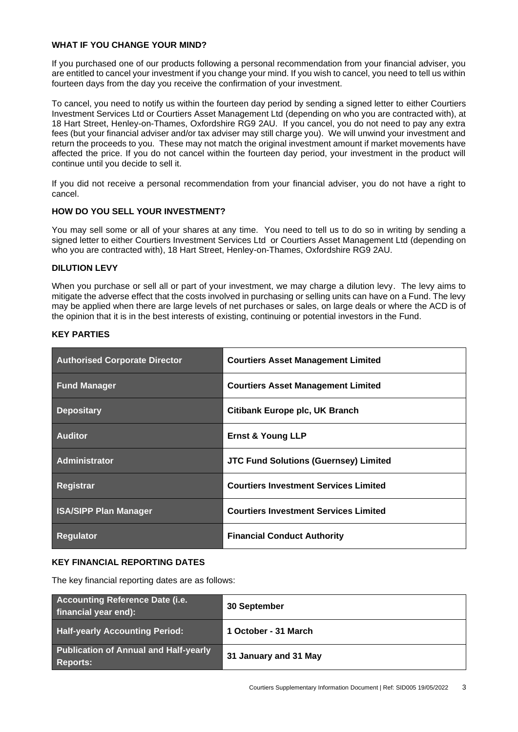#### **WHAT IF YOU CHANGE YOUR MIND?**

If you purchased one of our products following a personal recommendation from your financial adviser, you are entitled to cancel your investment if you change your mind. If you wish to cancel, you need to tell us within fourteen days from the day you receive the confirmation of your investment.

To cancel, you need to notify us within the fourteen day period by sending a signed letter to either Courtiers Investment Services Ltd or Courtiers Asset Management Ltd (depending on who you are contracted with), at 18 Hart Street, Henley-on-Thames, Oxfordshire RG9 2AU. If you cancel, you do not need to pay any extra fees (but your financial adviser and/or tax adviser may still charge you). We will unwind your investment and return the proceeds to you. These may not match the original investment amount if market movements have affected the price. If you do not cancel within the fourteen day period, your investment in the product will continue until you decide to sell it.

If you did not receive a personal recommendation from your financial adviser, you do not have a right to cancel.

#### **HOW DO YOU SELL YOUR INVESTMENT?**

You may sell some or all of your shares at any time. You need to tell us to do so in writing by sending a signed letter to either Courtiers Investment Services Ltd or Courtiers Asset Management Ltd (depending on who you are contracted with), 18 Hart Street, Henley-on-Thames, Oxfordshire RG9 2AU.

#### **DILUTION LEVY**

When you purchase or sell all or part of your investment, we may charge a dilution levy. The levy aims to mitigate the adverse effect that the costs involved in purchasing or selling units can have on a Fund. The levy may be applied when there are large levels of net purchases or sales, on large deals or where the ACD is of the opinion that it is in the best interests of existing, continuing or potential investors in the Fund.

| <b>Authorised Corporate Director</b> | <b>Courtiers Asset Management Limited</b>    |
|--------------------------------------|----------------------------------------------|
| <b>Fund Manager</b>                  | <b>Courtiers Asset Management Limited</b>    |
| <b>Depositary</b>                    | Citibank Europe plc, UK Branch               |
| <b>Auditor</b>                       | <b>Ernst &amp; Young LLP</b>                 |
| <b>Administrator</b>                 | <b>JTC Fund Solutions (Guernsey) Limited</b> |
| Registrar                            | <b>Courtiers Investment Services Limited</b> |
| <b>ISA/SIPP Plan Manager</b>         | <b>Courtiers Investment Services Limited</b> |
| <b>Regulator</b>                     | <b>Financial Conduct Authority</b>           |

#### **KEY PARTIES**

#### **KEY FINANCIAL REPORTING DATES**

The key financial reporting dates are as follows:

| Accounting Reference Date (i.e.<br>financial year end):         | 30 September          |
|-----------------------------------------------------------------|-----------------------|
| <b>Half-yearly Accounting Period:</b>                           | 1 October - 31 March  |
| <b>Publication of Annual and Half-yearly</b><br><b>Reports:</b> | 31 January and 31 May |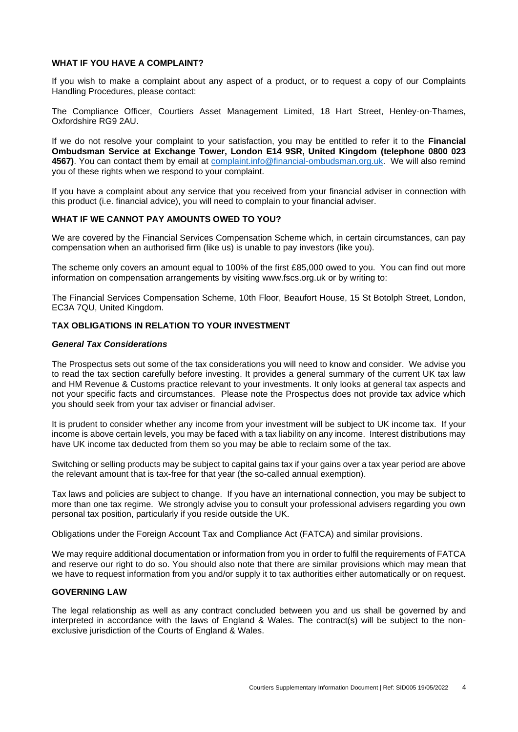#### **WHAT IF YOU HAVE A COMPLAINT?**

If you wish to make a complaint about any aspect of a product, or to request a copy of our Complaints Handling Procedures, please contact:

The Compliance Officer, Courtiers Asset Management Limited, 18 Hart Street, Henley-on-Thames, Oxfordshire RG9 2AU.

If we do not resolve your complaint to your satisfaction, you may be entitled to refer it to the **Financial Ombudsman Service at Exchange Tower, London E14 9SR, United Kingdom (telephone 0800 023 4567)**. You can contact them by email at [complaint.info@financial-ombudsman.org.uk.](mailto:complaint.info@financial-ombudsman.org.uk) We will also remind you of these rights when we respond to your complaint.

If you have a complaint about any service that you received from your financial adviser in connection with this product (i.e. financial advice), you will need to complain to your financial adviser.

#### **WHAT IF WE CANNOT PAY AMOUNTS OWED TO YOU?**

We are covered by the Financial Services Compensation Scheme which, in certain circumstances, can pay compensation when an authorised firm (like us) is unable to pay investors (like you).

The scheme only covers an amount equal to 100% of the first £85,000 owed to you. You can find out more information on compensation arrangements by visiting www.fscs.org.uk or by writing to:

The Financial Services Compensation Scheme, 10th Floor, Beaufort House, 15 St Botolph Street, London, EC3A 7QU, United Kingdom.

### **TAX OBLIGATIONS IN RELATION TO YOUR INVESTMENT**

#### *General Tax Considerations*

The Prospectus sets out some of the tax considerations you will need to know and consider. We advise you to read the tax section carefully before investing. It provides a general summary of the current UK tax law and HM Revenue & Customs practice relevant to your investments. It only looks at general tax aspects and not your specific facts and circumstances. Please note the Prospectus does not provide tax advice which you should seek from your tax adviser or financial adviser.

It is prudent to consider whether any income from your investment will be subject to UK income tax. If your income is above certain levels, you may be faced with a tax liability on any income. Interest distributions may have UK income tax deducted from them so you may be able to reclaim some of the tax.

Switching or selling products may be subject to capital gains tax if your gains over a tax year period are above the relevant amount that is tax-free for that year (the so-called annual exemption).

Tax laws and policies are subject to change. If you have an international connection, you may be subject to more than one tax regime. We strongly advise you to consult your professional advisers regarding you own personal tax position, particularly if you reside outside the UK.

Obligations under the Foreign Account Tax and Compliance Act (FATCA) and similar provisions.

We may require additional documentation or information from you in order to fulfil the requirements of FATCA and reserve our right to do so. You should also note that there are similar provisions which may mean that we have to request information from you and/or supply it to tax authorities either automatically or on request.

#### **GOVERNING LAW**

The legal relationship as well as any contract concluded between you and us shall be governed by and interpreted in accordance with the laws of England & Wales. The contract(s) will be subject to the nonexclusive jurisdiction of the Courts of England & Wales.